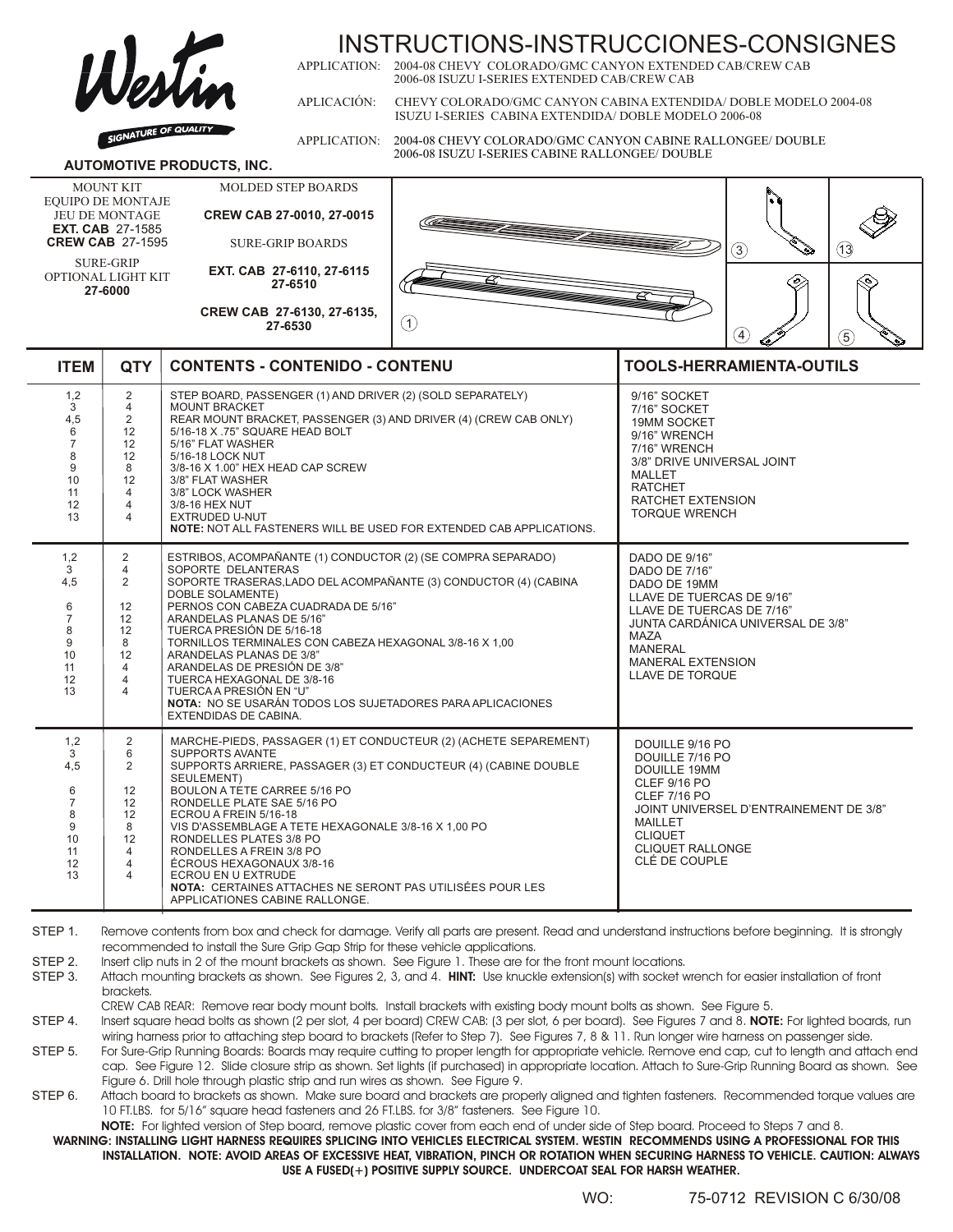

# INSTRUCTIONS-INSTRUCCIONES-CONSIGNES<br>APPLICATION: 2004-08 CHEVY COLORADO/GMC CANYON EXTENDED CAB/CREW CAB

2004-08 CHEVY COLORADO/GMC CANYON EXTENDED CAB/CREW CAB 2006-08 ISUZU I-SERIES EXTENDED CAB/CREW CAB

APLICACIÓN: CHEVY COLORADO/GMC CANYON CABINA EXTENDIDA/ DOBLE MODELO 2004-08 ISUZU I-SERIES CABINA EXTENDIDA/ DOBLE MODELO 2006-08

APPLICATION: 2004-08 CHEVY COLORADO/GMC CANYON CABINE RALLONGEE/ DOUBLE 2006-08 ISUZU I-SERIES CABINE RALLONGEE/ DOUBLE

### **AUTOMOTIVE PRODUCTS, INC.**

MOUNT KIT EQUIPO DE MONTAJE JEU DE MONTAGE **EXT. CAB** 27-1585 **CREW CAB** 27-1595

SURE-GRIP OPTIONAL LIGHT KIT **27-6000**

SURE-GRIP BOARDS **EXT. CAB 27-6110, 27-6115 27-6510**

MOLDED STEP BOARDS **CREW CAB 27-0010, 27-0015**

**CREW CAB 27-6130, 27-6135, 27-6530**



| <b>ITEM</b>                                                              | <b>QTY</b>                                                                                                  | <b>CONTENTS - CONTENIDO - CONTENU</b>                                                                                                                                                                                                                                                                                                                                                                                                                                                                                                                     | <b>TOOLS-HERRAMIENTA-OUTILS</b>                                                                                                                                                                                                   |
|--------------------------------------------------------------------------|-------------------------------------------------------------------------------------------------------------|-----------------------------------------------------------------------------------------------------------------------------------------------------------------------------------------------------------------------------------------------------------------------------------------------------------------------------------------------------------------------------------------------------------------------------------------------------------------------------------------------------------------------------------------------------------|-----------------------------------------------------------------------------------------------------------------------------------------------------------------------------------------------------------------------------------|
| 1,2<br>3<br>4,5<br>6<br>$\overline{7}$<br>8<br>9<br>10<br>11<br>12<br>13 | $\overline{2}$<br>$\overline{4}$<br>2<br>12<br>12<br>12<br>8<br>12<br>$\overline{4}$<br>$\overline{4}$<br>4 | STEP BOARD, PASSENGER (1) AND DRIVER (2) (SOLD SEPARATELY)<br><b>MOUNT BRACKET</b><br>REAR MOUNT BRACKET, PASSENGER (3) AND DRIVER (4) (CREW CAB ONLY)<br>5/16-18 X .75" SQUARE HEAD BOLT<br>5/16" FLAT WASHER<br>5/16-18 LOCK NUT<br>3/8-16 X 1.00" HEX HEAD CAP SCREW<br>3/8" FLAT WASHER<br>3/8" LOCK WASHER<br>3/8-16 HEX NUT<br><b>EXTRUDED U-NUT</b><br>NOTE: NOT ALL FASTENERS WILL BE USED FOR EXTENDED CAB APPLICATIONS.                                                                                                                         | 9/16" SOCKET<br>7/16" SOCKET<br><b>19MM SOCKET</b><br>9/16" WRENCH<br>7/16" WRENCH<br>3/8" DRIVE UNIVERSAL JOINT<br><b>MALLET</b><br><b>RATCHET</b><br><b>RATCHET EXTENSION</b><br><b>TORQUE WRENCH</b>                           |
| 1,2<br>3<br>4,5<br>6<br>$\overline{7}$<br>8<br>9<br>10<br>11<br>12<br>13 | 2<br>$\overline{4}$<br>$\overline{2}$<br>12<br>12<br>12<br>8<br>12<br>$\overline{4}$<br>4<br>4              | ESTRIBOS, ACOMPAÑANTE (1) CONDUCTOR (2) (SE COMPRA SEPARADO)<br>SOPORTE DELANTERAS<br>SOPORTE TRASERAS, LADO DEL ACOMPAÑANTE (3) CONDUCTOR (4) (CABINA<br>DOBLE SOLAMENTE)<br>PERNOS CON CABEZA CUADRADA DE 5/16"<br>ARANDELAS PLANAS DE 5/16"<br>TUERCA PRESIÓN DE 5/16-18<br>TORNILLOS TERMINALES CON CABEZA HEXAGONAL 3/8-16 X 1,00<br>ARANDELAS PLANAS DE 3/8"<br>ARANDELAS DE PRESIÓN DE 3/8"<br>TUERCA HEXAGONAL DE 3/8-16<br>TUERCA A PRESIÓN EN "U"<br>NOTA: NO SE USARÁN TODOS LOS SUJETADORES PARA APLICACIONES<br><b>EXTENDIDAS DE CABINA.</b> | DADO DE 9/16"<br>DADO DE 7/16"<br>DADO DE 19MM<br>LLAVE DE TUERCAS DE 9/16"<br>LLAVE DE TUERCAS DE 7/16"<br>JUNTA CARDÁNICA UNIVERSAL DE 3/8"<br><b>MAZA</b><br><b>MANERAL</b><br><b>MANERAL EXTENSION</b><br>LLAVE DE TORQUE     |
| 1,2<br>3<br>4,5<br>6<br>$\overline{7}$<br>8<br>9<br>10<br>11<br>12<br>13 | 2<br>6<br>$\overline{2}$<br>12<br>12<br>12<br>8<br>12<br>$\overline{4}$<br>$\overline{4}$<br>4              | MARCHE-PIEDS, PASSAGER (1) ET CONDUCTEUR (2) (ACHETE SEPAREMENT)<br><b>SUPPORTS AVANTE</b><br>SUPPORTS ARRIERE, PASSAGER (3) ET CONDUCTEUR (4) (CABINE DOUBLE<br>SEULEMENT)<br>BOULON A TETE CARREE 5/16 PO<br>RONDELLE PLATE SAE 5/16 PO<br>ECROU A FREIN 5/16-18<br>VIS D'ASSEMBLAGE A TETE HEXAGONALE 3/8-16 X 1,00 PO<br>RONDELLES PLATES 3/8 PO<br>RONDELLES A FREIN 3/8 PO<br>ÉCROUS HEXAGONAUX 3/8-16<br><b>ECROU EN U EXTRUDE</b><br>NOTA: CERTAINES ATTACHES NE SERONT PAS UTILISÉES POUR LES<br>APPLICATIONES CABINE RALLONGE.                  | DOUILLE 9/16 PO<br>DOUILLE 7/16 PO<br><b>DOUILLE 19MM</b><br><b>CLEF 9/16 PO</b><br><b>CLEF 7/16 PO</b><br>JOINT UNIVERSEL D'ENTRAINEMENT DE 3/8"<br><b>MAILLET</b><br><b>CLIQUET</b><br><b>CLIQUET RALLONGE</b><br>CLÉ DE COUPLE |

STEP 1. Remove contents from box and check for damage. Verify all parts are present. Read and understand instructions before beginning. It is strongly recommended to install the Sure Grip Gap Strip for these vehicle applications.

STEP 2. Insert clip nuts in 2 of the mount brackets as shown. See Figure 1. These are for the front mount locations.

STEP 3. Attach mounting brackets as shown. See Figures 2, 3, and 4. **HINT:** Use knuckle extension(s) with socket wrench for easier installation of front brackets.

CREW CAB REAR: Remove rear body mount bolts. Install brackets with existing body mount bolts as shown. See Figure 5.

STEP 4. Insert square head bolts as shown (2 per slot, 4 per board) CREW CAB: (3 per slot, 6 per board). See Figures 7 and 8. **NOTE:** For lighted boards, run wiring harness prior to attaching step board to brackets (Refer to Step 7). See Figures 7, 8 & 11. Run longer wire harness on passenger side.

STEP 5. For Sure-Grip Running Boards: Boards may require cutting to proper length for appropriate vehicle. Remove end cap, cut to length and attach end cap. See Figure 12. Slide closure strip as shown. Set lights (if purchased) in appropriate location. Attach to Sure-Grip Running Board as shown. See Figure 6. Drill hole through plastic strip and run wires as shown. See Figure 9.

STEP 6. Attach board to brackets as shown. Make sure board and brackets are properly aligned and tighten fasteners. Recommended torque values are 10 FT.LBS. for 5/16" square head fasteners and 26 FT.LBS. for 3/8" fasteners. See Figure 10.

**NOTE:** For lighted version of Step board, remove plastic cover from each end of under side of Step board. Proceed to Steps 7 and 8.

**WARNING: INSTALLING LIGHT HARNESS REQUIRES SPLICING INTO VEHICLES ELECTRICAL SYSTEM. WESTIN RECOMMENDS USING A PROFESSIONAL FOR THIS INSTALLATION. NOTE: AVOID AREAS OF EXCESSIVE HEAT, VIBRATION, PINCH OR ROTATION WHEN SECURING HARNESS TO VEHICLE. CAUTION: ALWAYS USE A FUSED(+) POSITIVE SUPPLY SOURCE. UNDERCOAT SEAL FOR HARSH WEATHER.**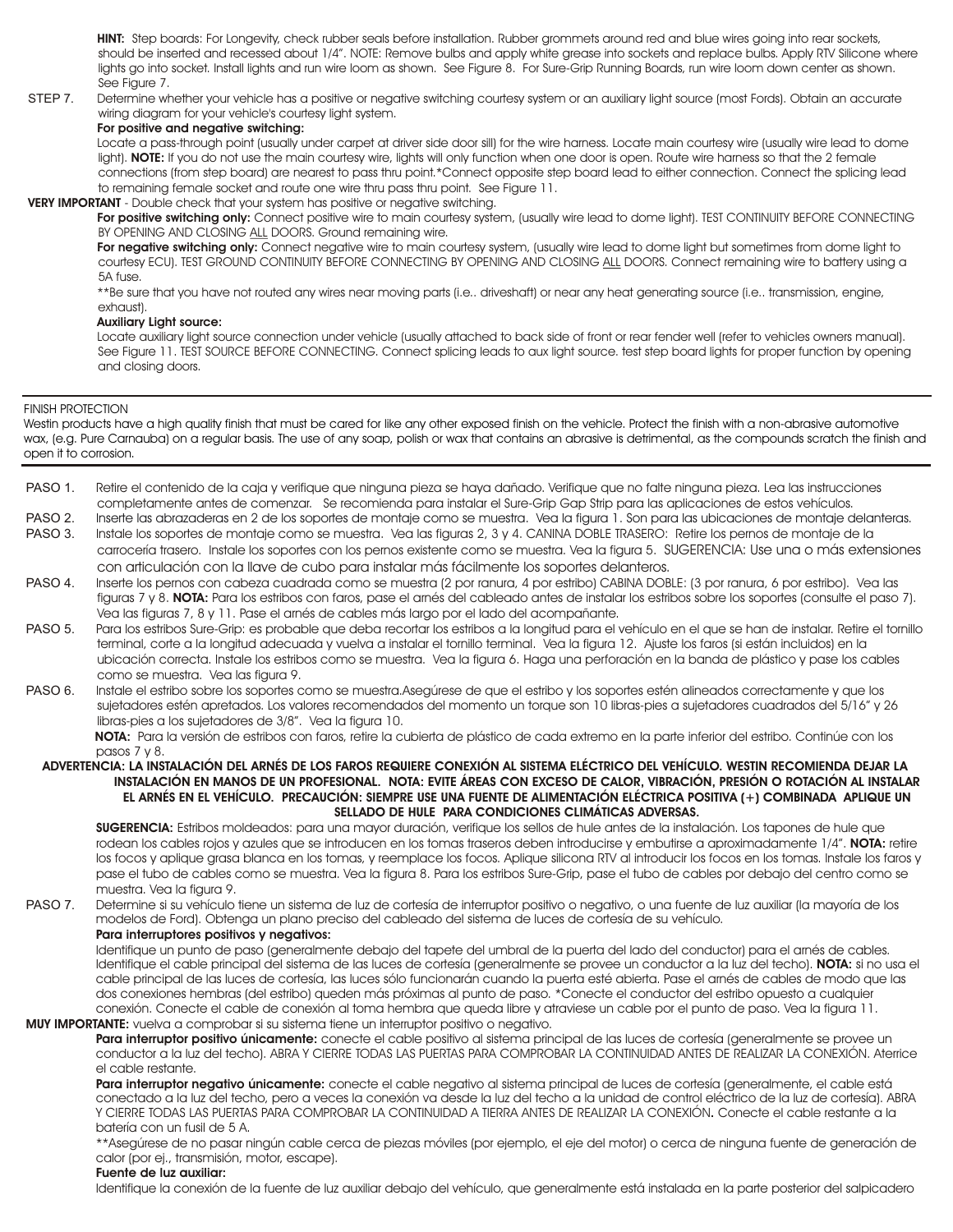**HINT:** Step boards: For Longevity, check rubber seals before installation. Rubber grommets around red and blue wires going into rear sockets, should be inserted and recessed about 1/4". NOTE: Remove bulbs and apply white grease into sockets and replace bulbs. Apply RTV Silicone where lights go into socket. Install lights and run wire loom as shown. See Figure 8. For Sure-Grip Running Boards, run wire loom down center as shown. See Figure 7.

STEP 7. Determine whether your vehicle has a positive or negative switching courtesy system or an auxiliary light source (most Fords). Obtain an accurate wiring diagram for your vehicle's courtesy light system.

## **For positive and negative switching:**

Locate a pass-through point (usually under carpet at driver side door sill) for the wire harness. Locate main courtesy wire (usually wire lead to dome light). NOTE: If you do not use the main courtesy wire, lights will only function when one door is open. Route wire harness so that the 2 female connections (from step board) are nearest to pass thru point.\*Connect opposite step board lead to either connection. Connect the splicing lead to remaining female socket and route one wire thru pass thru point. See Figure 11.

#### **VERY IMPORTANT** - Double check that your system has positive or negative switching.

For positive switching only: Connect positive wire to main courtesy system, (usually wire lead to dome light). TEST CONTINUITY BEFORE CONNECTING BY OPENING AND CLOSING ALL DOORS. Ground remaining wire.

For negative switching only: Connect negative wire to main courtesy system, (usually wire lead to dome light but sometimes from dome light to courtesy ECU). TEST GROUND CONTINUITY BEFORE CONNECTING BY OPENING AND CLOSING ALL DOORS. Connect remaining wire to battery using a 5A fuse.

\*\*Be sure that you have not routed any wires near moving parts (i.e.. driveshaft) or near any heat generating source (i.e.. transmission, engine, exhaust).

#### **Auxiliary Light source:**

Locate auxiliary light source connection under vehicle (usually attached to back side of front or rear fender well (refer to vehicles owners manual). See Figure 11. TEST SOURCE BEFORE CONNECTING. Connect splicing leads to aux light source. test step board lights for proper function by opening and closing doors.

#### FINISH PROTECTION

Westin products have a high quality finish that must be cared for like any other exposed finish on the vehicle. Protect the finish with a non-abrasive automotive wax, (e.g. Pure Carnauba) on a regular basis. The use of any soap, polish or wax that contains an abrasive is detrimental, as the compounds scratch the finish and open it to corrosion.

- PASO 1. Retire el contenido de la caja y verifique que ninguna pieza se haya dañado. Verifique que no falte ninguna pieza. Lea las instrucciones completamente antes de comenzar. Se recomienda para instalar el Sure-Grip Gap Strip para las aplicaciones de estos vehículos.
- PASO 2. Inserte las abrazaderas en 2 de los soportes de montaje como se muestra. Vea la figura 1. Son para las ubicaciones de montaje delanteras.
- PASO 3. Instale los soportes de montaje como se muestra. Vea las figuras 2, 3 y 4. CANINA DOBLE TRASERO: Retire los pernos de montaje de la carrocería trasero. Instale los soportes con los pernos existente como se muestra. Vea la figura 5. SUGERENCIA: Use una o más extensiones con articulación con la llave de cubo para instalar más fácilmente los soportes delanteros.
- PASO 4. Inserte los pernos con cabeza cuadrada como se muestra (2 por ranura, 4 por estribo) CABINA DOBLE: (3 por ranura, 6 por estribo). Vea las figuras 7 y 8. **NOTA:** Para los estribos con faros, pase el arnés del cableado antes de instalar los estribos sobre los soportes (consulte el paso 7). Vea las figuras 7, 8 y 11. Pase el arnés de cables más largo por el lado del acompañante.
- PASO 5. Para los estribos Sure-Grip: es probable que deba recortar los estribos a la longitud para el vehículo en el que se han de instalar. Retire el tornillo terminal, corte a la longitud adecuada y vuelva a instalar el tornillo terminal. Vea la figura 12. Ajuste los faros (si están incluidos) en la ubicación correcta. Instale los estribos como se muestra. Vea la figura 6. Haga una perforación en la banda de plástico y pase los cables como se muestra. Vea las figura 9.
- PASO 6. Instale el estribo sobre los soportes como se muestra.Asegúrese de que el estribo y los soportes estén alineados correctamente y que los sujetadores estén apretados. Los valores recomendados del momento un torque son 10 libras-pies a sujetadores cuadrados del 5/16" y 26 libras-pies a los sujetadores de 3/8". Vea la figura 10.

**NOTA:** Para la versión de estribos con faros, retire la cubierta de plástico de cada extremo en la parte inferior del estribo. Continúe con los pasos 7 y 8.

**ADVERTENCIA: LA INSTALACIÓN DEL ARNÉS DE LOS FAROS REQUIERE CONEXIÓN AL SISTEMA ELÉCTRICO DEL VEHÍCULO. WESTIN RECOMIENDA DEJAR LA INSTALACIÓN EN MANOS DE UN PROFESIONAL. NOTA: EVITE ÁREAS CON EXCESO DE CALOR, VIBRACIÓN, PRESIÓN O ROTACIÓN AL INSTALAR EL ARNÉS EN EL VEHÍCULO. PRECAUCIÓN: SIEMPRE USE UNA FUENTE DE ALIMENTACIÓN ELÉCTRICA POSITIVA (+) COMBINADA APLIQUE UN SELLADO DE HULE PARA CONDICIONES CLIMÁTICAS ADVERSAS.**

pase el tubo de cables como se muestra. Vea la figura 8. Para los estribos Sure-Grip, pase el tubo de cables por debajo del centro como se muestra. Vea la figura 9. **SUGERENCIA:** Estribos moldeados: para una mayor duración, verifique los sellos de hule antes de la instalación. Los tapones de hule que rodean los cables rojos y azules que se introducen en los tomas traseros deben introducirse y embutirse a aproximadamente 1/4". **NOTA:** retire los focos y aplique grasa blanca en los tomas, y reemplace los focos. Aplique silicona RTV al introducir los focos en los tomas. Instale los faros y

PASO 7. Determine si su vehículo tiene un sistema de luz de cortesía de interruptor positivo o negativo, o una fuente de luz auxiliar (la mayoría de los modelos de Ford). Obtenga un plano preciso del cableado del sistema de luces de cortesía de su vehículo.

**Para interruptores positivos y negativos:**

conexión. Conecte el cable de conexión al toma hembra que queda libre y atraviese un cable por el punto de paso. Vea la figura 11. Identifique un punto de paso (generalmente debajo del tapete del umbral de la puerta del lado del conductor) para el arnés de cables. Identifique el cable principal del sistema de las luces de cortesía (generalmente se provee un conductor a la luz del techo). **NOTA:** si no usa el cable principal de las luces de cortesía, las luces sólo funcionarán cuando la puerta esté abierta. Pase el arnés de cables de modo que las dos conexiones hembras (del estribo) queden más próximas al punto de paso. \*Conecte el conductor del estribo opuesto a cualquier **MUY IMPORTANTE:** vuelva a comprobar si su sistema tiene un interruptor positivo o negativo.

**Para interruptor positivo únicamente:** conecte el cable positivo al sistema principal de las luces de cortesía (generalmente se provee un conductor a la luz del techo). ABRA Y CIERRE TODAS LAS PUERTAS PARA COMPROBAR LA CONTINUIDAD ANTES DE REALIZAR LA CONEXIÓN. Aterrice el cable restante.

Para interruptor negativo únicamente: conecte el cable negativo al sistema principal de luces de cortesía (generalmente, el cable está conectado a la luz del techo, pero a veces la conexión va desde la luz del techo a la unidad de control eléctrico de la luz de cortesía). ABRA Y CIERRE TODAS LAS PUERTAS PARA COMPROBAR LA CONTINUIDAD A TIERRA ANTES DE REALIZAR LA CONEXIÓN**.** Conecte el cable restante a la batería con un fusil de 5 A.

\*\*Asegúrese de no pasar ningún cable cerca de piezas móviles (por ejemplo, el eje del motor) o cerca de ninguna fuente de generación de calor (por ej., transmisión, motor, escape).

#### **Fuente de luz auxiliar:**

Identifique la conexión de la fuente de luz auxiliar debajo del vehículo, que generalmente está instalada en la parte posterior del salpicadero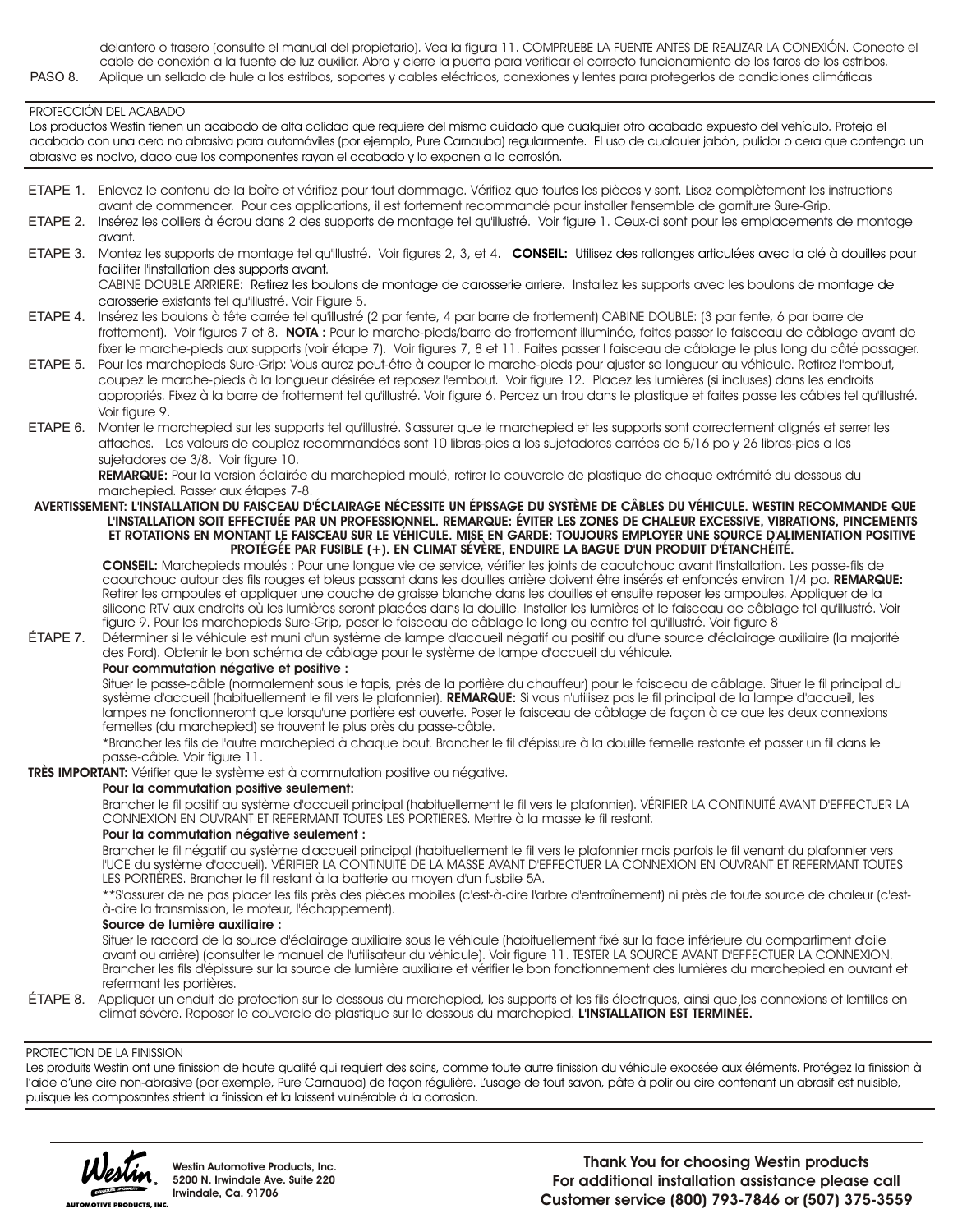delantero o trasero (consulte el manual del propietario). Vea la figura 11. COMPRUEBE LA FUENTE ANTES DE REALIZAR LA CONEXION. Conecte el cable de conexión a la fuente de luz auxiliar. Abra y cierre la puerta para verificar el correcto funcionamiento de los faros de los estribos. PASO 8. Aplique un sellado de hule a los estribos, soportes y cables eléctricos, conexiones y lentes para protegerlos de condiciones climáticas

#### PROTECCIÓN DEL ACABADO

Los productos Westin tienen un acabado de alta calidad que requiere del mismo cuidado que cualquier otro acabado expuesto del vehículo. Proteja el acabado con una cera no abrasiva para automóviles (por ejemplo, Pure Carnauba) regularmente. El uso de cualquier jabón, pulidor o cera que contenga un abrasivo es nocivo, dado que los componentes rayan el acabado y lo exponen a la corrosión.

- ETAPE 1. Enlevez le contenu de la boîte et vérifiez pour tout dommage. Vérifiez que toutes les pièces y sont. Lisez complètement les instructions avant de commencer. Pour ces applications, il est fortement recommandé pour installer l'ensemble de garniture Sure-Grip.
- ETAPE 2. Insérez les colliers à écrou dans 2 des supports de montage tel qu'illustré. Voir figure 1. Ceux-ci sont pour les emplacements de montage avant.
- ETAPE 3. Montez les supports de montage tel qu'illustré. Voir figures 2, 3, et 4. **CONSEIL:** Utilisez des rallonges articulées avec la clé à douilles pour faciliter l'installation des supports avant.

CABINE DOUBLE ARRIERE: Retirez les boulons de montage de carosserie arriere. Installez les supports avec les boulons de montage de carosserie existants tel qu'illustré. Voir Figure 5.

- ETAPE 4. Insérez les boulons à tête carrée tel qu'illustré (2 par fente, 4 par barre de frottement) CABINE DOUBLE: (3 par fente, 6 par barre de frottement). Voir figures 7 et 8. **NOTA :** Pour le marche-pieds/barre de frottement illuminée, faites passer le faisceau de câblage avant de fixer le marche-pieds aux supports (voir étape 7). Voir figures 7, 8 et 11. Faites passer l faisceau de câblage le plus long du côté passager.
- ETAPE 5. Pour les marchepieds Sure-Grip: Vous aurez peut-être à couper le marche-pieds pour ajuster sa longueur au véhicule. Retirez l'embout, coupez le marche-pieds à la longueur désirée et reposez l'embout. Voir figure 12. Placez les lumières (si incluses) dans les endroits appropriés. Fixez à la barre de frottement tel qu'illustré. Voir figure 6. Percez un trou dans le plastique et faites passe les câbles tel qu'illustré. Voir figure 9.
- ETAPE 6. Monter le marchepied sur les supports tel qu'illustré. S'assurer que le marchepied et les supports sont correctement alignés et serrer les attaches. Les valeurs de couplez recommandées sont 10 libras-pies a los sujetadores carrées de 5/16 po y 26 libras-pies a los sujetadores de 3/8. Voir figure 10.

**REMARQUE:** Pour la version éclairée du marchepied moulé, retirer le couvercle de plastique de chaque extrémité du dessous du marchepied. Passer aux étapes 7-8.

#### **AVERTISSEMENT: L'INSTALLATION DU FAISCEAU D'ÉCLAIRAGE NÉCESSITE UN ÉPISSAGE DU SYSTÈME DE CÂBLES DU VÉHICULE. WESTIN RECOMMANDE QUE L'INSTALLATION SOIT EFFECTUÉE PAR UN PROFESSIONNEL. REMARQUE: ÉVITER LES ZONES DE CHALEUR EXCESSIVE, VIBRATIONS, PINCEMENTS ET ROTATIONS EN MONTANT LE FAISCEAU SUR LE VÉHICULE. MISE EN GARDE: TOUJOURS EMPLOYER UNE SOURCE D'ALIMENTATION POSITIVE PROTÉGÉE PAR FUSIBLE (+). EN CLIMAT SÉVÈRE, ENDUIRE LA BAGUE D'UN PRODUIT D'ÉTANCHÉITÉ.**

**CONSEIL:** Marchepieds moulés : Pour une longue vie de service, vérifier les joints de caoutchouc avant l'installation. Les passe-fils de caoutchouc autour des fils rouges et bleus passant dans les douilles arrière doivent être insérés et enfoncés environ 1/4 po. **REMARQUE:**  Retirer les ampoules et appliquer une couche de graisse blanche dans les douilles et ensuite reposer les ampoules. Appliquer de la silicone RTV aux endroits où les lumières seront placées dans la douille. Installer les lumières et le faisceau de câblage tel qu'illustré. Voir figure 9. Pour les marchepieds Sure-Grip, poser le faisceau de câblage le long du centre tel qu'illustré. Voir figure 8

ÉTAPE 7. Déterminer si le véhicule est muni d'un système de lampe d'accueil négatif ou positif ou d'une source d'éclairage auxiliaire (la majorité des Ford). Obtenir le bon schéma de câblage pour le système de lampe d'accueil du véhicule.

#### **Pour commutation négative et positive :**

Situer le passe-câble (normalement sous le tapis, près de la portière du chauffeur) pour le faisceau de câblage. Situer le fil principal du système d'accueil (habituellement le fil vers le plafonnier). **REMARQUE:** Si vous n'utilisez pas le fil principal de la lampe d'accueil, les lampes ne fonctionneront que lorsqu'une portière est ouverte. Poser le faisceau de câblage de façon à ce que les deux connexions femelles (du marchepied) se trouvent le plus près du passe-câble.

\*Brancher les fils de l'autre marchepied à chaque bout. Brancher le fil d'épissure à la douille femelle restante et passer un fil dans le passe-câble. Voir figure 11.

**TRÈS IMPORTANT:** Vérifier que le système est à commutation positive ou négative.

#### **Pour la commutation positive seulement:**

Brancher le fil positif au système d'accueil principal (habituellement le fil vers le plafonnier). VÉRIFIER LA CONTINUITÉ AVANT D'EFFECTUER LA CONNEXION EN OUVRANT ET REFERMANT TOUTES LES PORTIÈRES. Mettre à la masse le fil restant.

## **Pour la commutation négative seulement :**

Brancher le fil négatif au système d'accueil principal (habituellement le fil vers le plafonnier mais parfois le fil venant du plafonnier vers l'UCE du système d'accueil). VÉRIFIER LA CONTINUITÉ DE LA MASSE AVANT D'EFFECTUER LA CONNEXION EN OUVRANT ET REFERMANT TOUTES LES PORTIÈRES. Brancher le fil restant à la batterie au moyen d'un fusbile 5A.

\*\*S'assurer de ne pas placer les fils près des pièces mobiles (c'est-à-dire l'arbre d'entraînement) ni près de toute source de chaleur (c'està-dire la transmission, le moteur, l'échappement).

#### **Source de lumière auxiliaire :**

Situer le raccord de la source d'éclairage auxiliaire sous le véhicule (habituellement fixé sur la face inférieure du compartiment d'aile avant ou arrière) (consulter le manuel de l'utilisateur du véhicule). Voir figure 11. TESTER LA SOURCE AVANT D'EFFECTUER LA CONNEXION. Brancher les fils d'épissure sur la source de lumière auxiliaire et vérifier le bon fonctionnement des lumières du marchepied en ouvrant et refermant les portières.

ÉTAPE 8. Appliquer un enduit de protection sur le dessous du marchepied, les supports et les fils électriques, ainsi que les connexions et lentilles en climat sévère. Reposer le couvercle de plastique sur le dessous du marchepied. **L'INSTALLATION EST TERMINÉE.**

#### PROTECTION DE LA FINISSION

Les produits Westin ont une finission de haute qualité qui requiert des soins, comme toute autre finission du véhicule exposée aux éléments. Protégez la finission à l'aide d'une cire non-abrasive (par exemple, Pure Carnauba) de façon régulière. L'usage de tout savon, pâte à polir ou cire contenant un abrasif est nuisible, puisque les composantes strient la finission et la laissent vulnérable à la corrosion.



**Westin Automotive Products, Inc. 5200 N. Irwindale Ave. Suite 220 Irwindale, Ca. 91706**